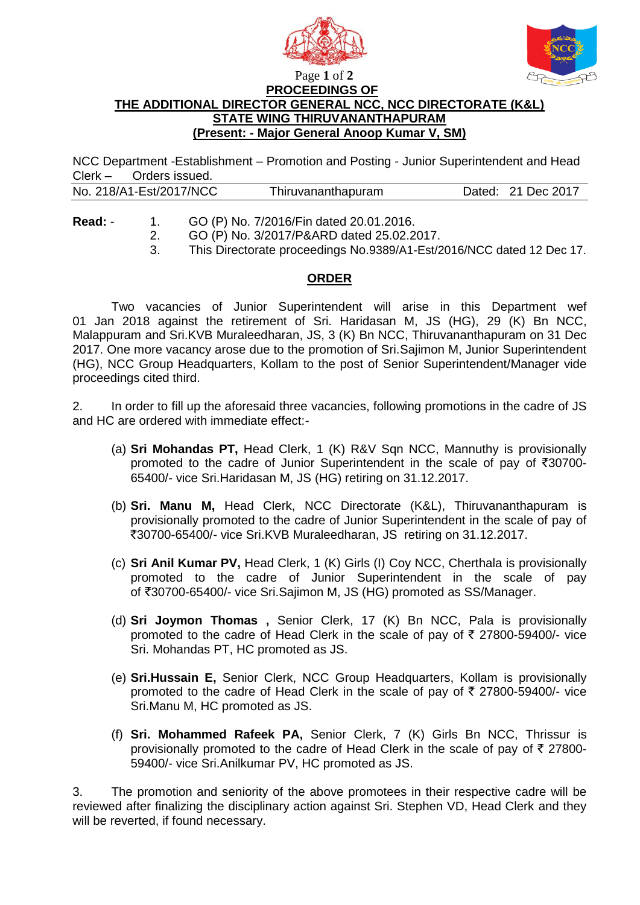



Page **1** of **2 PROCEEDINGS OF** 

## **THE ADDITIONAL DIRECTOR GENERAL NCC, NCC DIRECTORATE (K&L) STATE WING THIRUVANANTHAPURAM (Present: - Major General Anoop Kumar V, SM)**

NCC Department -Establishment – Promotion and Posting - Junior Superintendent and Head Clerk – Orders issued.

|--|

- **Read:** 1. GO (P) No. 7/2016/Fin dated 20.01.2016.
	- 2. GO (P) No. 3/2017/P&ARD dated 25.02.2017.
	- 3. This Directorate proceedings No.9389/A1-Est/2016/NCC dated 12 Dec 17.

## **ORDER**

 Two vacancies of Junior Superintendent will arise in this Department wef 01 Jan 2018 against the retirement of Sri. Haridasan M, JS (HG), 29 (K) Bn NCC, Malappuram and Sri.KVB Muraleedharan, JS, 3 (K) Bn NCC, Thiruvananthapuram on 31 Dec 2017. One more vacancy arose due to the promotion of Sri.Sajimon M, Junior Superintendent (HG), NCC Group Headquarters, Kollam to the post of Senior Superintendent/Manager vide proceedings cited third.

2. In order to fill up the aforesaid three vacancies, following promotions in the cadre of JS and HC are ordered with immediate effect:-

- (a) **Sri Mohandas PT,** Head Clerk, 1 (K) R&V Sqn NCC, Mannuthy is provisionally promoted to the cadre of Junior Superintendent in the scale of pay of  $\overline{3}30700$ -65400/- vice Sri.Haridasan M, JS (HG) retiring on 31.12.2017.
- (b) **Sri. Manu M,** Head Clerk, NCC Directorate (K&L), Thiruvananthapuram is provisionally promoted to the cadre of Junior Superintendent in the scale of pay of `30700-65400/- vice Sri.KVB Muraleedharan, JS retiring on 31.12.2017.
- (c) **Sri Anil Kumar PV,** Head Clerk, 1 (K) Girls (I) Coy NCC, Cherthala is provisionally promoted to the cadre of Junior Superintendent in the scale of pay of `30700-65400/- vice Sri.Sajimon M, JS (HG) promoted as SS/Manager.
- (d) **Sri Joymon Thomas ,** Senior Clerk, 17 (K) Bn NCC, Pala is provisionally promoted to the cadre of Head Clerk in the scale of pay of  $\bar{\tau}$  27800-59400/- vice Sri. Mohandas PT, HC promoted as JS.
- (e) **Sri.Hussain E,** Senior Clerk, NCC Group Headquarters, Kollam is provisionally promoted to the cadre of Head Clerk in the scale of pay of  $\bar{\tau}$  27800-59400/- vice Sri.Manu M, HC promoted as JS.
- (f) **Sri. Mohammed Rafeek PA,** Senior Clerk, 7 (K) Girls Bn NCC, Thrissur is provisionally promoted to the cadre of Head Clerk in the scale of pay of  $\bar{\tau}$  27800-59400/- vice Sri.Anilkumar PV, HC promoted as JS.

3. The promotion and seniority of the above promotees in their respective cadre will be reviewed after finalizing the disciplinary action against Sri. Stephen VD, Head Clerk and they will be reverted, if found necessary.